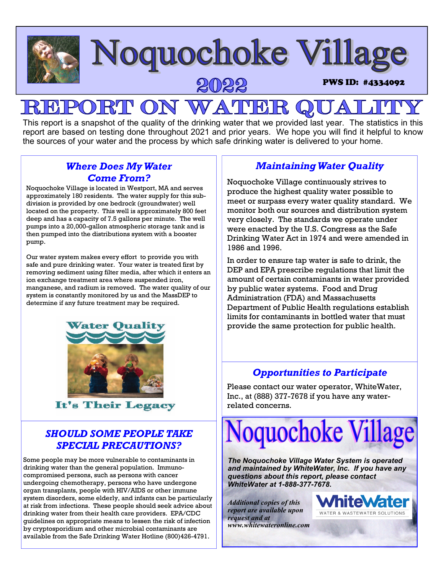

# **Noquochoke Village**

## RJ **PON WATHEI**

This report is a snapshot of the quality of the drinking water that we provided last year. The statistics in this report are based on testing done throughout 2021 and prior years. We hope you will find it helpful to know the sources of your water and the process by which safe drinking water is delivered to your home.

## *Where Does My Water Come From?*

Noquochoke Village is located in Westport, MA and serves approximately 180 residents. The water supply for this subdivision is provided by one bedrock (groundwater) well located on the property. This well is approximately 800 feet deep and has a capacity of 7.5 gallons per minute. The well pumps into a 20,000-gallon atmospheric storage tank and is then pumped into the distributions system with a booster pump.

Our water system makes every effort to provide you with safe and pure drinking water. Your water is treated first by removing sediment using filter media, after which it enters an ion exchange treatment area where suspended iron, manganese, and radium is removed. The water quality of our system is constantly monitored by us and the MassDEP to determine if any future treatment may be required.



It's Their Legacy

## *SHOULD SOME PEOPLE TAKE SPECIAL PRECAUTIONS?*

Some people may be more vulnerable to contaminants in drinking water than the general population. Immunocompromised persons, such as persons with cancer undergoing chemotherapy, persons who have undergone organ transplants, people with HIV/AIDS or other immune system disorders, some elderly, and infants can be particularly at risk from infections. These people should seek advice about drinking water from their health care providers. EPA/CDC guidelines on appropriate means to lessen the risk of infection by cryptosporidium and other microbial contaminants are available from the Safe Drinking Water Hotline (800)426-4791.

## *Maintaining Water Quality*

PWS ID: #4334092

Noquochoke Village continuously strives to produce the highest quality water possible to meet or surpass every water quality standard. We monitor both our sources and distribution system very closely. The standards we operate under were enacted by the U.S. Congress as the Safe Drinking Water Act in 1974 and were amended in 1986 and 1996.

In order to ensure tap water is safe to drink, the DEP and EPA prescribe regulations that limit the amount of certain contaminants in water provided by public water systems. Food and Drug Administration (FDA) and Massachusetts Department of Public Health regulations establish limits for contaminants in bottled water that must provide the same protection for public health.

## *Opportunities to Participate*

Please contact our water operator, WhiteWater, Inc., at (888) 377-7678 if you have any waterrelated concerns.



*The Noquochoke Village Water System is operated and maintained by WhiteWater, Inc. If you have any questions about this report, please contact WhiteWater at 1-888-377-7678.* 

*Additional copies of this report are available upon request and at www.whitewateronline.com* 

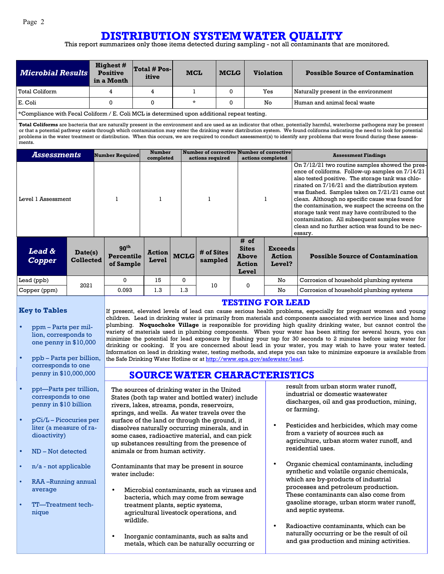## **DISTRIBUTION SYSTEM WATER QUALITY**

This report summarizes only those items detected during sampling - not all contaminants that are monitored.

| <b>Microbial Results</b>                                                                                   | <b>Highest #</b><br><b>Positive</b><br>in a Month | $\vert$ Total # Pos- $\vert$<br>itive | <b>MCL</b> | <b>MCLG</b> | <b>Violation</b> | <b>Possible Source of Contamination</b> |  |
|------------------------------------------------------------------------------------------------------------|---------------------------------------------------|---------------------------------------|------------|-------------|------------------|-----------------------------------------|--|
| Total Coliform                                                                                             |                                                   | 4                                     |            |             | Yes              | Naturally present in the environment    |  |
| E. Coli                                                                                                    |                                                   |                                       | *          |             | No               | l Human and animal fecal waste          |  |
| $\cdots$<br>$\sim$ $\sim$<br>$\mathbf{r}$ , $\mathbf{r}$ , $\mathbf{r}$ , $\mathbf{r}$ , $\mathbf{r}$<br>. |                                                   |                                       |            |             |                  |                                         |  |

\*Compliance with Fecal Coliform / E. Coli MCL is determined upon additional repeat testing.

**Total Coliforms** are bacteria that are naturally present in the environment and are used as an indicator that other, potentially harmful, waterborne pathogens may be present or that a potential pathway exists through which contamination may enter the drinking water distribution system. We found coliforms indicating the need to look for potential problems in the water treatment or distribution. When this occurs, we are required to conduct assessment(s) to identify any problems that were found during these assessments.

| Assessments                                                | Number Required                             | <b>Number</b><br>completed |             | Number of corrective Number of corrective<br>actions required |                                                                | actions completed                         | <b>Assessment Findings</b>                                                                                                                                                                                                                                                                                                                                                                                                                                                                                                      |
|------------------------------------------------------------|---------------------------------------------|----------------------------|-------------|---------------------------------------------------------------|----------------------------------------------------------------|-------------------------------------------|---------------------------------------------------------------------------------------------------------------------------------------------------------------------------------------------------------------------------------------------------------------------------------------------------------------------------------------------------------------------------------------------------------------------------------------------------------------------------------------------------------------------------------|
| Level 1 Assessment                                         |                                             |                            |             |                                                               |                                                                |                                           | On 7/12/21 two routine samples showed the pres-<br>ence of coliforms. Follow-up samples on 7/14/21<br>also tested positive. The storage tank was chlo-<br>rinated on 7/16/21 and the distribution system<br>was flushed. Samples taken on 7/21/21 came out<br>clean. Although no specific cause was found for<br>the contamination, we suspect the screens on the<br>storage tank vent may have contributed to the<br>contamination. All subsequent samples were<br>clean and no further action was found to be nec-<br>essary. |
| <b>Lead &amp;</b><br>Date(s)<br><b>Collected</b><br>Copper | 90 <sup>th</sup><br>Percentile<br>of Sample | <b>Action</b><br>Level     | <b>MCLG</b> | # of Sites<br>sampled                                         | # of<br><b>Sites</b><br><b>Above</b><br><b>Action</b><br>Level | <b>Exceeds</b><br><b>Action</b><br>Level? | <b>Possible Source of Contamination</b>                                                                                                                                                                                                                                                                                                                                                                                                                                                                                         |
| Lead (ppb)<br>2021                                         | 0                                           | 15                         | 0           | 10                                                            | $\mathbf{0}$                                                   | No                                        | Corrosion of household plumbing systems                                                                                                                                                                                                                                                                                                                                                                                                                                                                                         |

Copper (ppm) 0.093 1.3 1.3 No Corrosion of household plumbing systems

#### **Key to Tables**

- ppm Parts per million, corresponds to one penny in \$10,000
- ppb Parts per billion, corresponds to one penny in \$10,000,000
- ppt—Parts per trillion, corresponds to one penny in \$10 billion
- pCi/L Picocuries per liter (a measure of radioactivity)
- ND Not detected
- n/a not applicable
- RAA –Running annual average
- TT—Treatment technique

#### **TESTING FOR LEAD**

If present, elevated levels of lead can cause serious health problems, especially for pregnant women and young children. Lead in drinking water is primarily from materials and components associated with service lines and home plumbing. **Noquochoke Village** is responsible for providing high quality drinking water, but cannot control the variety of materials used in plumbing components. When your water has been sitting for several hours, you can minimize the potential for lead exposure by flushing your tap for 30 seconds to 2 minutes before using water for drinking or cooking. If you are concerned about lead in your water, you may wish to have your water tested. Information on lead in drinking water, testing methods, and steps you can take to minimize exposure is available from the Safe Drinking Water Hotline or at http://www.epa.gov/safewater/lead.

### **SOURCE WATER CHARACTERISTICS**

The sources of drinking water in the United States (both tap water and bottled water) include rivers, lakes, streams, ponds, reservoirs, springs, and wells. As water travels over the surface of the land or through the ground, it dissolves naturally occurring minerals, and in some cases, radioactive material, and can pick up substances resulting from the presence of animals or from human activity.

Contaminants that may be present in source water include:

- Microbial contaminants, such as viruses and bacteria, which may come from sewage treatment plants, septic systems, agricultural livestock operations, and wildlife.
- Inorganic contaminants, such as salts and metals, which can be naturally occurring or

result from urban storm water runoff, industrial or domestic wastewater discharges, oil and gas production, mining, or farming.

- Pesticides and herbicides, which may come from a variety of sources such as agriculture, urban storm water runoff, and residential uses.
- Organic chemical contaminants, including synthetic and volatile organic chemicals, which are by-products of industrial processes and petroleum production. These contaminants can also come from gasoline storage, urban storm water runoff, and septic systems.
- Radioactive contaminants, which can be naturally occurring or be the result of oil and gas production and mining activities.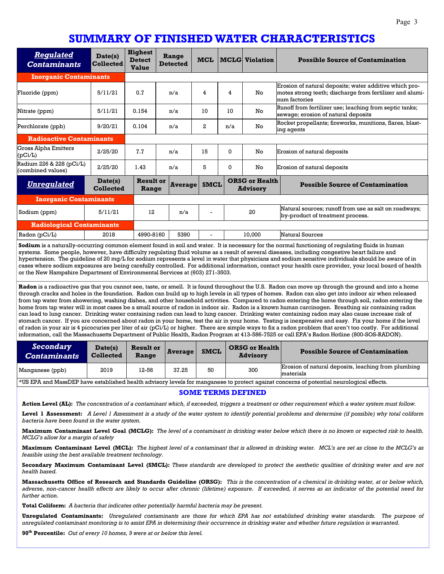## **SUMMARY OF FINISHED WATER CHARACTERISTICS**

| <b>Regulated</b><br><b>Contaminants</b>       | Date(s)<br><b>Collected</b> | <b>Highest</b><br><b>Detect</b><br><b>Value</b> | Range<br><b>Detected</b> | <b>MCL</b>  |          | <b>MCLG</b> Violation                    | <b>Possible Source of Contamination</b>                                                                                             |
|-----------------------------------------------|-----------------------------|-------------------------------------------------|--------------------------|-------------|----------|------------------------------------------|-------------------------------------------------------------------------------------------------------------------------------------|
| <b>Inorganic Contaminants</b>                 |                             |                                                 |                          |             |          |                                          |                                                                                                                                     |
| Fluoride (ppm)                                | 5/11/21                     | 0.7                                             | n/a                      | 4           | 4        | No                                       | Erosion of natural deposits; water additive which pro-<br>motes strong teeth; discharge from fertilizer and alumi-<br>num factories |
| Nitrate (ppm)                                 | 5/11/21                     | 0.154                                           | n/a                      | 10          | 10       | No                                       | Runoff from fertilizer use; leaching from septic tanks;<br>sewage; erosion of natural deposits                                      |
| Perchlorate (ppb)                             | 9/20/21                     | 0.104                                           | n/a                      | 2.          | n/a      | No                                       | Rocket propellants; fireworks, munitions, flares, blast-<br>ing agents                                                              |
| <b>Radioactive Contaminants</b>               |                             |                                                 |                          |             |          |                                          |                                                                                                                                     |
| <b>Gross Alpha Emitters</b><br>(pCi/L)        | 2/25/20                     | 7.7                                             | n/a                      | 15          | $\Omega$ | No                                       | Erosion of natural deposits                                                                                                         |
| Radium 226 & 228 (pCi/L)<br>(combined values) | 2/25/20                     | 1.43                                            | n/a                      | 5           | $\Omega$ | No                                       | Erosion of natural deposits                                                                                                         |
| <b>Unregulated</b>                            | Date(s)<br><b>Collected</b> | <b>Result or</b><br>Range                       | <b>Average</b>           | <b>SMCL</b> |          | <b>ORSG or Health</b><br><b>Advisory</b> | <b>Possible Source of Contamination</b>                                                                                             |
| <b>Inorganic Contaminants</b>                 |                             |                                                 |                          |             |          |                                          |                                                                                                                                     |
| Sodium (ppm)                                  | 5/11/21                     | 12                                              | n/a                      |             |          | 20                                       | Natural sources; runoff from use as salt on roadways;<br>by-product of treatment process.                                           |
| <b>Radiological Contaminants</b>              |                             |                                                 |                          |             |          |                                          |                                                                                                                                     |
| Radon $(pCi/L)$                               | 2018                        | 4990-8160                                       | 5390                     |             |          | 10.000                                   | Natural Sources                                                                                                                     |

**Sodium** is a naturally-occurring common element found in soil and water. It is necessary for the normal functioning of regulating fluids in human systems. Some people, however, have difficulty regulating fluid volume as a result of several diseases, including congestive heart failure and hypertension. The guideline of 20 mg/L for sodium represents a level in water that physicians and sodium sensitive individuals should be aware of in cases where sodium exposures are being carefully controlled. For additional information, contact your health care provider, your local board of health or the New Hampshire Department of Environmental Services at (603) 271-3503.

**Radon** is a radioactive gas that you cannot see, taste, or smell. It is found throughout the U.S. Radon can move up through the ground and into a home through cracks and holes in the foundation. Radon can build up to high levels in all types of homes. Radon can also get into indoor air when released from tap water from showering, washing dishes, and other household activities. Compared to radon entering the home through soil, radon entering the home from tap water will in most cases be a small source of radon in indoor air. Radon is a known human carcinogen. Breathing air containing radon can lead to lung cancer. Drinking water containing radon can lead to lung cancer. Drinking water containing radon may also cause increase risk of stomach cancer. If you are concerned about radon in your home, test the air in your home. Testing is inexpensive and easy. Fix your home if the level of radon in your air is 4 picocuries per liter of air (pCi/L) or higher. There are simple ways to fix a radon problem that aren't too costly. For additional information, call the Massachusetts Department of Public Health, Radon Program at 413-586-7525 or call EPA's Radon Hotline (800-SOS-RADON).

| Secondary<br><b>Contaminants</b>   | Date(s)<br><b>Collected</b> | <b>Result or</b><br>Range | Average | <b>SMCL</b> | <b>ORSG or Health</b><br><b>Advisory</b> | <b>Possible Source of Contamination</b>                          |
|------------------------------------|-----------------------------|---------------------------|---------|-------------|------------------------------------------|------------------------------------------------------------------|
| Manganese (ppb)                    | 2019                        | 12-56                     | 37.25   | 50          | 300                                      | Erosion of natural deposits, leaching from plumbing<br>materials |
| $1.770$ mm $7.7$<br>---<br>$- - -$ | .                           |                           |         |             |                                          | $\sim$ $\sim$                                                    |

\*US EPA and MassDEP have established health advisory levels for manganese to protect against concerns of potential neurological effects.

#### **SOME TERMS DEFINED**

**Action Level (AL):** *The concentration of a contaminant which, if exceeded, triggers a treatment or other requirement which a water system must follow.* 

**Level 1 Assessment:** *A Level 1 Assessment is a study of the water system to identify potential problems and determine (if possible) why total coliform bacteria have been found in the water system.* 

**Maximum Contaminant Level Goal (MCLG):** *The level of a contaminant in drinking water below which there is no known or expected risk to health. MCLG's allow for a margin of safety* 

**Maximum Contaminant Level (MCL):** *The highest level of a contaminant that is allowed in drinking water. MCL's are set as close to the MCLG's as feasible using the best available treatment technology.* 

**Secondary Maximum Contaminant Level (SMCL):** *These standards are developed to protect the aesthetic qualities of drinking water and are not health based.* 

**Massachusetts Office of Research and Standards Guideline (ORSG):** *This is the concentration of a chemical in drinking water, at or below which, adverse, non-cancer health effects are likely to occur after chronic (lifetime) exposure. If exceeded, it serves as an indicator of the potential need for further action.* 

**Total Coliform:** *A bacteria that indicates other potentially harmful bacteria may be present.* 

**Unregulated Contaminants:** *Unregulated contaminants are those for which EPA has not established drinking water standards. The purpose of unregulated contaminant monitoring is to assist EPA in determining their occurrence in drinking water and whether future regulation is warranted.* 

**90th Percentile:** *Out of every 10 homes, 9 were at or below this level.*